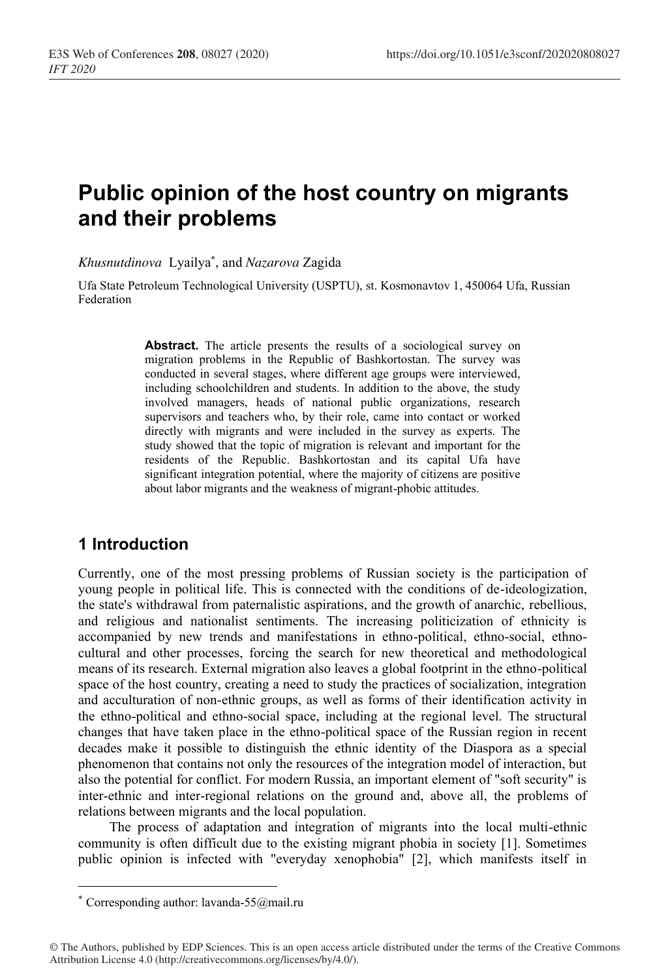# **Public opinion of the host country on migrants and their problems**

*Khusnutdinova* Lyailya\* , and *Nazarova* Zagida

Ufa State Petroleum Technological University (USPTU), st. Kosmonavtov 1, 450064 Ufa, Russian Federation

> **Abstract.** The article presents the results of a sociological survey on migration problems in the Republic of Bashkortostan. The survey was conducted in several stages, where different age groups were interviewed, including schoolchildren and students. In addition to the above, the study involved managers, heads of national public organizations, research supervisors and teachers who, by their role, came into contact or worked directly with migrants and were included in the survey as experts. The study showed that the topic of migration is relevant and important for the residents of the Republic. Bashkortostan and its capital Ufa have significant integration potential, where the majority of citizens are positive about labor migrants and the weakness of migrant-phobic attitudes.

### **1 Introduction**

Currently, one of the most pressing problems of Russian society is the participation of young people in political life. This is connected with the conditions of de-ideologization, the state's withdrawal from paternalistic aspirations, and the growth of anarchic, rebellious, and religious and nationalist sentiments. The increasing politicization of ethnicity is accompanied by new trends and manifestations in ethno-political, ethno-social, ethnocultural and other processes, forcing the search for new theoretical and methodological means of its research. External migration also leaves a global footprint in the ethno-political space of the host country, creating a need to study the practices of socialization, integration and acculturation of non-ethnic groups, as well as forms of their identification activity in the ethno-political and ethno-social space, including at the regional level. The structural changes that have taken place in the ethno-political space of the Russian region in recent decades make it possible to distinguish the ethnic identity of the Diaspora as a special phenomenon that contains not only the resources of the integration model of interaction, but also the potential for conflict. For modern Russia, an important element of "soft security" is inter-ethnic and inter-regional relations on the ground and, above all, the problems of relations between migrants and the local population.

The process of adaptation and integration of migrants into the local multi-ethnic community is often difficult due to the existing migrant phobia in society [1]. Sometimes public opinion is infected with "everyday xenophobia" [2], which manifests itself in

<sup>\*</sup> Corresponding author: lavanda-55@mail.ru

<sup>©</sup> The Authors, published by EDP Sciences. This is an open access article distributed under the terms of the Creative Commons Attribution License 4.0 (http://creativecommons.org/licenses/by/4.0/).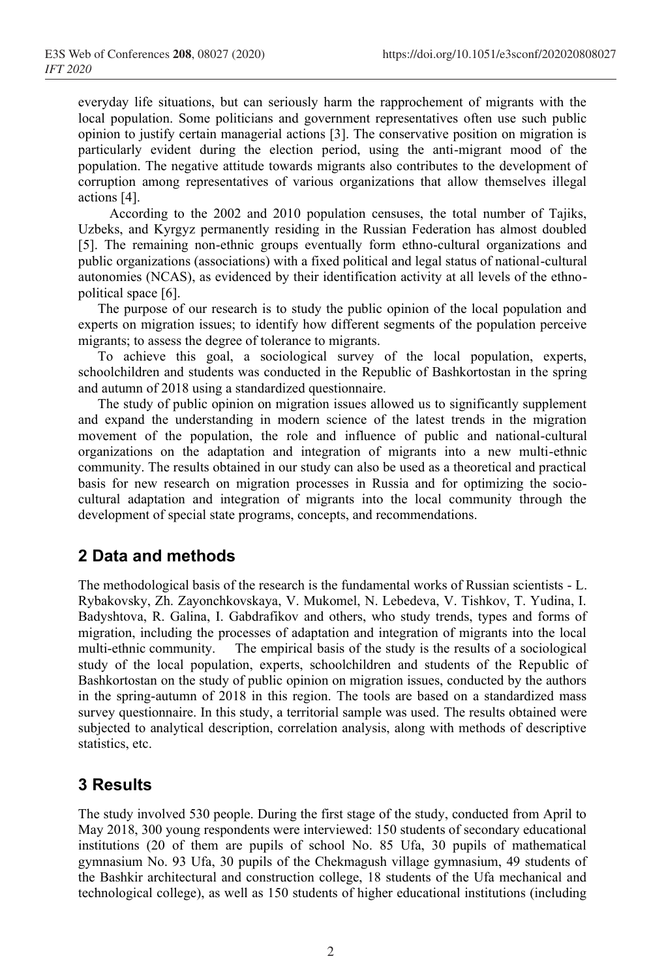everyday life situations, but can seriously harm the rapprochement of migrants with the local population. Some politicians and government representatives often use such public opinion to justify certain managerial actions [3]. The conservative position on migration is particularly evident during the election period, using the anti-migrant mood of the population. The negative attitude towards migrants also contributes to the development of corruption among representatives of various organizations that allow themselves illegal actions [4].

According to the 2002 and 2010 population censuses, the total number of Tajiks, Uzbeks, and Kyrgyz permanently residing in the Russian Federation has almost doubled [5]. The remaining non-ethnic groups eventually form ethno-cultural organizations and public organizations (associations) with a fixed political and legal status of national-cultural autonomies (NCAS), as evidenced by their identification activity at all levels of the ethnopolitical space [6].

The purpose of our research is to study the public opinion of the local population and experts on migration issues; to identify how different segments of the population perceive migrants; to assess the degree of tolerance to migrants.

To achieve this goal, a sociological survey of the local population, experts, schoolchildren and students was conducted in the Republic of Bashkortostan in the spring and autumn of 2018 using a standardized questionnaire.

The study of public opinion on migration issues allowed us to significantly supplement and expand the understanding in modern science of the latest trends in the migration movement of the population, the role and influence of public and national-cultural organizations on the adaptation and integration of migrants into a new multi-ethnic community. The results obtained in our study can also be used as a theoretical and practical basis for new research on migration processes in Russia and for optimizing the sociocultural adaptation and integration of migrants into the local community through the development of special state programs, concepts, and recommendations.

### **2 Data and methods**

The methodological basis of the research is the fundamental works of Russian scientists - L. Rybakovsky, Zh. Zayonchkovskaya, V. Mukomel, N. Lebedeva, V. Tishkov, T. Yudina, I. Badyshtova, R. Galina, I. Gabdrafikov and others, who study trends, types and forms of migration, including the processes of adaptation and integration of migrants into the local multi-ethnic community. The empirical basis of the study is the results of a sociological study of the local population, experts, schoolchildren and students of the Republic of Bashkortostan on the study of public opinion on migration issues, conducted by the authors in the spring-autumn of 2018 in this region. The tools are based on a standardized mass survey questionnaire. In this study, a territorial sample was used. The results obtained were subjected to analytical description, correlation analysis, along with methods of descriptive statistics, etc.

## **3 Results**

The study involved 530 people. During the first stage of the study, conducted from April to May 2018, 300 young respondents were interviewed: 150 students of secondary educational institutions (20 of them are pupils of school No. 85 Ufa, 30 pupils of mathematical gymnasium No. 93 Ufa, 30 pupils of the Chekmagush village gymnasium, 49 students of the Bashkir architectural and construction college, 18 students of the Ufa mechanical and technological college), as well as 150 students of higher educational institutions (including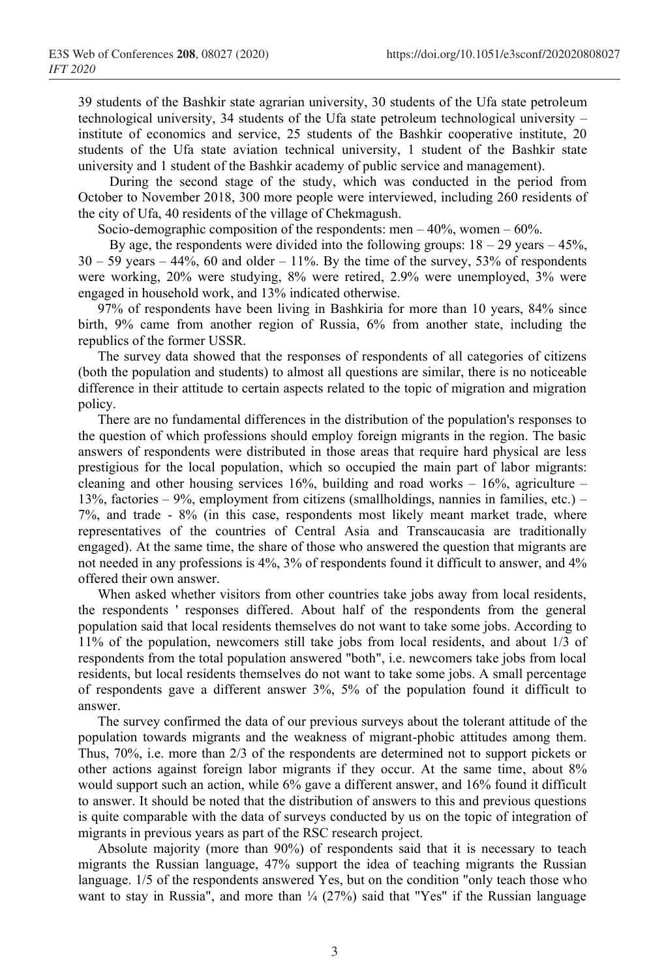39 students of the Bashkir state agrarian university, 30 students of the Ufa state petroleum technological university, 34 students of the Ufa state petroleum technological university – institute of economics and service, 25 students of the Bashkir cooperative institute, 20 students of the Ufa state aviation technical university, 1 student of the Bashkir state university and 1 student of the Bashkir academy of public service and management).

During the second stage of the study, which was conducted in the period from October to November 2018, 300 more people were interviewed, including 260 residents of the city of Ufa, 40 residents of the village of Chekmagush.

Socio-demographic composition of the respondents: men  $-40%$ , women  $-60%$ .

By age, the respondents were divided into the following groups:  $18 - 29$  years  $-45\%$ ,  $30 - 59$  years  $-44\%$ , 60 and older  $-11\%$ . By the time of the survey, 53% of respondents were working, 20% were studying, 8% were retired, 2.9% were unemployed, 3% were engaged in household work, and 13% indicated otherwise.

97% of respondents have been living in Bashkiria for more than 10 years, 84% since birth, 9% came from another region of Russia, 6% from another state, including the republics of the former USSR.

The survey data showed that the responses of respondents of all categories of citizens (both the population and students) to almost all questions are similar, there is no noticeable difference in their attitude to certain aspects related to the topic of migration and migration policy.

There are no fundamental differences in the distribution of the population's responses to the question of which professions should employ foreign migrants in the region. The basic answers of respondents were distributed in those areas that require hard physical are less prestigious for the local population, which so occupied the main part of labor migrants: cleaning and other housing services 16%, building and road works – 16%, agriculture – 13%, factories – 9%, employment from citizens (smallholdings, nannies in families, etc.) – 7%, and trade - 8% (in this case, respondents most likely meant market trade, where representatives of the countries of Central Asia and Transcaucasia are traditionally engaged). At the same time, the share of those who answered the question that migrants are not needed in any professions is 4%, 3% of respondents found it difficult to answer, and 4% offered their own answer.

When asked whether visitors from other countries take jobs away from local residents, the respondents ' responses differed. About half of the respondents from the general population said that local residents themselves do not want to take some jobs. According to 11% of the population, newcomers still take jobs from local residents, and about 1/3 of respondents from the total population answered "both", i.e. newcomers take jobs from local residents, but local residents themselves do not want to take some jobs. A small percentage of respondents gave a different answer 3%, 5% of the population found it difficult to answer.

The survey confirmed the data of our previous surveys about the tolerant attitude of the population towards migrants and the weakness of migrant-phobic attitudes among them. Thus, 70%, i.e. more than 2/3 of the respondents are determined not to support pickets or other actions against foreign labor migrants if they occur. At the same time, about 8% would support such an action, while 6% gave a different answer, and 16% found it difficult to answer. It should be noted that the distribution of answers to this and previous questions is quite comparable with the data of surveys conducted by us on the topic of integration of migrants in previous years as part of the RSC research project.

Аbsolute majority (more than 90%) of respondents said that it is necessary to teach migrants the Russian language, 47% support the idea of teaching migrants the Russian language. 1/5 of the respondents answered Yes, but on the condition "only teach those who want to stay in Russia", and more than  $\frac{1}{4}$  (27%) said that "Yes" if the Russian language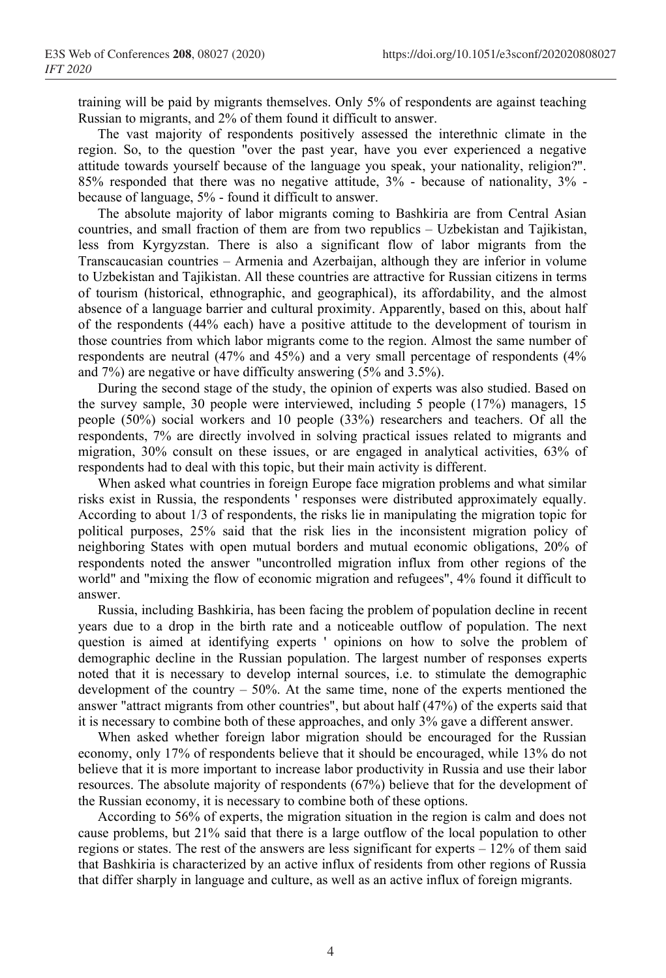training will be paid by migrants themselves. Only 5% of respondents are against teaching Russian to migrants, and 2% of them found it difficult to answer.

The vast majority of respondents positively assessed the interethnic climate in the region. So, to the question "over the past year, have you ever experienced a negative attitude towards yourself because of the language you speak, your nationality, religion?". 85% responded that there was no negative attitude, 3% - because of nationality, 3% because of language, 5% - found it difficult to answer.

The absolute majority of labor migrants coming to Bashkiria are from Central Asian countries, and small fraction of them are from two republics – Uzbekistan and Tajikistan, less from Kyrgyzstan. There is also a significant flow of labor migrants from the Transcaucasian countries – Armenia and Azerbaijan, although they are inferior in volume to Uzbekistan and Tajikistan. All these countries are attractive for Russian citizens in terms of tourism (historical, ethnographic, and geographical), its affordability, and the almost absence of a language barrier and cultural proximity. Apparently, based on this, about half of the respondents (44% each) have a positive attitude to the development of tourism in those countries from which labor migrants come to the region. Almost the same number of respondents are neutral (47% and 45%) and a very small percentage of respondents (4% and 7%) are negative or have difficulty answering (5% and 3.5%).

During the second stage of the study, the opinion of experts was also studied. Based on the survey sample, 30 people were interviewed, including 5 people (17%) managers, 15 people (50%) social workers and 10 people (33%) researchers and teachers. Of all the respondents, 7% are directly involved in solving practical issues related to migrants and migration, 30% consult on these issues, or are engaged in analytical activities, 63% of respondents had to deal with this topic, but their main activity is different.

When asked what countries in foreign Europe face migration problems and what similar risks exist in Russia, the respondents ' responses were distributed approximately equally. According to about 1/3 of respondents, the risks lie in manipulating the migration topic for political purposes, 25% said that the risk lies in the inconsistent migration policy of neighboring States with open mutual borders and mutual economic obligations, 20% of respondents noted the answer "uncontrolled migration influx from other regions of the world" and "mixing the flow of economic migration and refugees", 4% found it difficult to answer.

Russia, including Bashkiria, has been facing the problem of population decline in recent years due to a drop in the birth rate and a noticeable outflow of population. The next question is aimed at identifying experts ' opinions on how to solve the problem of demographic decline in the Russian population. The largest number of responses experts noted that it is necessary to develop internal sources, i.e. to stimulate the demographic development of the country – 50%. At the same time, none of the experts mentioned the answer "attract migrants from other countries", but about half (47%) of the experts said that it is necessary to combine both of these approaches, and only 3% gave a different answer.

When asked whether foreign labor migration should be encouraged for the Russian economy, only 17% of respondents believe that it should be encouraged, while 13% do not believe that it is more important to increase labor productivity in Russia and use their labor resources. The absolute majority of respondents (67%) believe that for the development of the Russian economy, it is necessary to combine both of these options.

According to 56% of experts, the migration situation in the region is calm and does not cause problems, but 21% said that there is a large outflow of the local population to other regions or states. The rest of the answers are less significant for experts  $-12\%$  of them said that Bashkiria is characterized by an active influx of residents from other regions of Russia that differ sharply in language and culture, as well as an active influx of foreign migrants.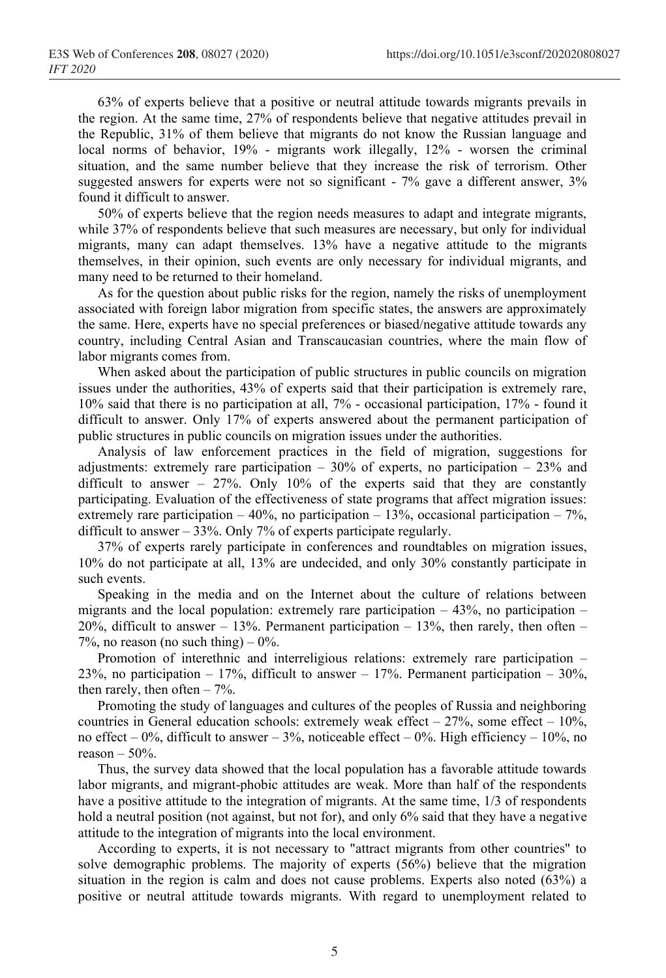63% of experts believe that a positive or neutral attitude towards migrants prevails in the region. At the same time, 27% of respondents believe that negative attitudes prevail in the Republic, 31% of them believe that migrants do not know the Russian language and local norms of behavior, 19% - migrants work illegally, 12% - worsen the criminal situation, and the same number believe that they increase the risk of terrorism. Other suggested answers for experts were not so significant - 7% gave a different answer, 3% found it difficult to answer.

50% of experts believe that the region needs measures to adapt and integrate migrants, while 37% of respondents believe that such measures are necessary, but only for individual migrants, many can adapt themselves. 13% have a negative attitude to the migrants themselves, in their opinion, such events are only necessary for individual migrants, and many need to be returned to their homeland.

As for the question about public risks for the region, namely the risks of unemployment associated with foreign labor migration from specific states, the answers are approximately the same. Here, experts have no special preferences or biased/negative attitude towards any country, including Central Asian and Transcaucasian countries, where the main flow of labor migrants comes from.

When asked about the participation of public structures in public councils on migration issues under the authorities, 43% of experts said that their participation is extremely rare, 10% said that there is no participation at all, 7% - occasional participation, 17% - found it difficult to answer. Only 17% of experts answered about the permanent participation of public structures in public councils on migration issues under the authorities.

Analysis of law enforcement practices in the field of migration, suggestions for adjustments: extremely rare participation  $-30\%$  of experts, no participation  $-23\%$  and difficult to answer – 27%. Only 10% of the experts said that they are constantly participating. Evaluation of the effectiveness of state programs that affect migration issues: extremely rare participation – 40%, no participation – 13%, occasional participation – 7%, difficult to answer – 33%. Only 7% of experts participate regularly.

37% of experts rarely participate in conferences and roundtables on migration issues, 10% do not participate at all, 13% are undecided, and only 30% constantly participate in such events.

Speaking in the media and on the Internet about the culture of relations between migrants and the local population: extremely rare participation  $-43%$ , no participation  $-$ 20%, difficult to answer – 13%. Permanent participation – 13%, then rarely, then often – 7%, no reason (no such thing)  $-0\%$ .

Promotion of interethnic and interreligious relations: extremely rare participation – 23%, no participation – 17%, difficult to answer – 17%. Permanent participation – 30%, then rarely, then often  $-7\%$ .

Promoting the study of languages and cultures of the peoples of Russia and neighboring countries in General education schools: extremely weak effect –  $27\%$ , some effect –  $10\%$ , no effect – 0%, difficult to answer – 3%, noticeable effect – 0%. High efficiency – 10%, no reason  $-50%$ .

Thus, the survey data showed that the local population has a favorable attitude towards labor migrants, and migrant-phobic attitudes are weak. More than half of the respondents have a positive attitude to the integration of migrants. At the same time, 1/3 of respondents hold a neutral position (not against, but not for), and only 6% said that they have a negative attitude to the integration of migrants into the local environment.

According to experts, it is not necessary to "attract migrants from other countries" to solve demographic problems. The majority of experts (56%) believe that the migration situation in the region is calm and does not cause problems. Experts also noted (63%) a positive or neutral attitude towards migrants. With regard to unemployment related to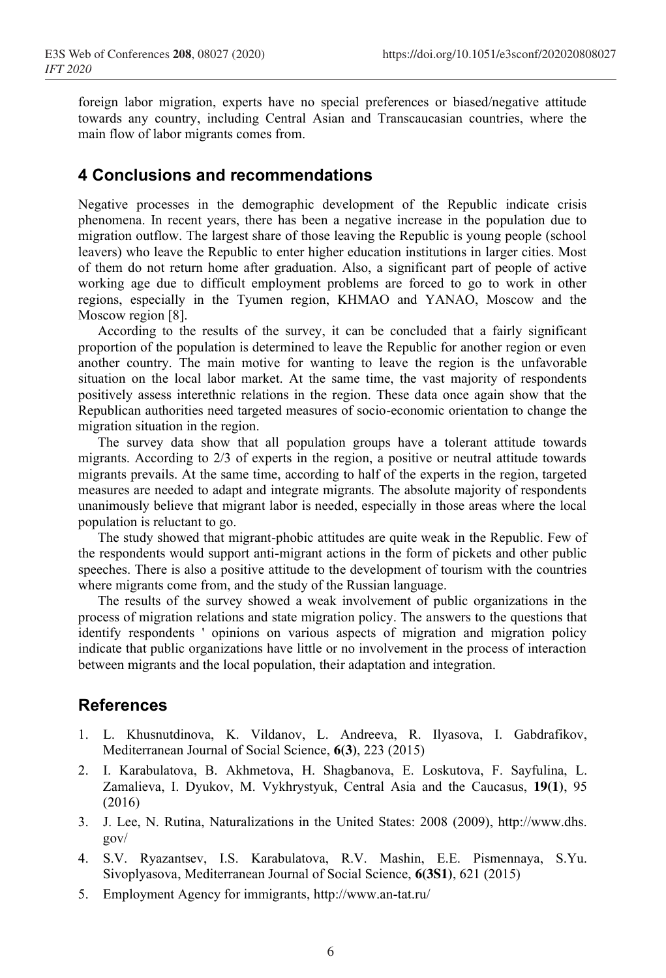foreign labor migration, experts have no special preferences or biased/negative attitude towards any country, including Central Asian and Transcaucasian countries, where the main flow of labor migrants comes from.

### **4 Conclusions and recommendations**

Negative processes in the demographic development of the Republic indicate crisis phenomena. In recent years, there has been a negative increase in the population due to migration outflow. The largest share of those leaving the Republic is young people (school leavers) who leave the Republic to enter higher education institutions in larger cities. Most of them do not return home after graduation. Also, a significant part of people of active working age due to difficult employment problems are forced to go to work in other regions, especially in the Tyumen region, KHMAO and YANAO, Moscow and the Moscow region [8].

According to the results of the survey, it can be concluded that a fairly significant proportion of the population is determined to leave the Republic for another region or even another country. The main motive for wanting to leave the region is the unfavorable situation on the local labor market. At the same time, the vast majority of respondents positively assess interethnic relations in the region. These data once again show that the Republican authorities need targeted measures of socio-economic orientation to change the migration situation in the region.

The survey data show that all population groups have a tolerant attitude towards migrants. According to 2/3 of experts in the region, a positive or neutral attitude towards migrants prevails. At the same time, according to half of the experts in the region, targeted measures are needed to adapt and integrate migrants. The absolute majority of respondents unanimously believe that migrant labor is needed, especially in those areas where the local population is reluctant to go.

The study showed that migrant-phobic attitudes are quite weak in the Republic. Few of the respondents would support anti-migrant actions in the form of pickets and other public speeches. There is also a positive attitude to the development of tourism with the countries where migrants come from, and the study of the Russian language.

The results of the survey showed a weak involvement of public organizations in the process of migration relations and state migration policy. The answers to the questions that identify respondents ' opinions on various aspects of migration and migration policy indicate that public organizations have little or no involvement in the process of interaction between migrants and the local population, their adaptation and integration.

#### **References**

- 1. L. Khusnutdinova, K. Vildanov, L. Andreeva, R. Ilyasova, I. Gabdrafikov, Mediterranean Journal of Social Science, **6(3)**, 223 (2015)
- 2. I. Karabulatova, B. Akhmetova, H. Shagbanova, E. Loskutova, F. Sayfulina, L. Zamalieva, I. Dyukov, M. Vykhrystyuk, Central Asia and the Caucasus, **19(1)**, 95 (2016)
- 3. J. Lee, N. Rutina, Naturalizations in the United States: 2008 (2009), http://www.dhs. gov/
- 4. S.V. Ryazantsev, I.S. Karabulatova, R.V. Mashin, E.E. Pismennaya, S.Yu. Sivoplyasova, Mediterranean Journal of Social Science, **6(3S1)**, 621 (2015)
- 5. Employment Agency for immigrants, http://www.an-tat.ru/